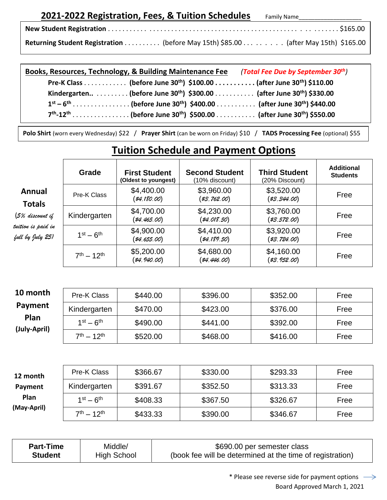## **2021-2022 Registration, Fees, & Tuition Schedules** Family Name

| Returning Student Registration (before May 15th) \$85.00 (after May 15th) \$165.00 |  |  |
|------------------------------------------------------------------------------------|--|--|

| Books, Resources, Technology, & Building Maintenance Fee (Total Fee Due by September 30 <sup>th</sup> ) |  |
|---------------------------------------------------------------------------------------------------------|--|
| Pre-K Class (before June 30 <sup>th</sup> ) \$100.00 (after June 30 <sup>th</sup> ) \$110.00            |  |
| Kindergarten (before June 30 <sup>th</sup> ) $$300.00$ (after June 30 <sup>th</sup> ) \$330.00          |  |
| $1^{st} - 6^{th}$ (before June 30 <sup>th</sup> ) \$400.00(after June 30 <sup>th</sup> ) \$440.00       |  |
|                                                                                                         |  |

**Polo Shirt** (worn every Wednesday) \$22 / **Prayer Shirt** (can be worn on Friday) \$10 / **TADS Processing Fee** (optional) \$55

## **Tuition Schedule and Payment Options**

|                                                                                                                                          | Grade        | <b>First Student</b><br>(Oldest to youngest) | <b>Second Student</b><br>(10% discount) | <b>Third Student</b><br>(20% Discount) | <b>Additional</b><br><b>Students</b> |
|------------------------------------------------------------------------------------------------------------------------------------------|--------------|----------------------------------------------|-----------------------------------------|----------------------------------------|--------------------------------------|
| Annual<br>Pre-K Class<br><b>Totals</b><br>(5% discount if<br>tuition is paid in<br>$1st - 6th$<br>full by July 25)<br>$7^{th} - 12^{th}$ |              | \$4,400.00<br>(\$4,180.00)                   | \$3,960.00<br>(\$3,762.00)              | \$3,520.00<br>$(*3, 344.00)$           | Free                                 |
|                                                                                                                                          | Kindergarten | \$4,700.00<br>(\$4,465.00)                   | \$4,230.00<br>$(*4.018.50)$             | \$3,760.00<br>(\$3,572.00)             | Free                                 |
|                                                                                                                                          |              | \$4,900.00<br>(\$4,655.00)                   | \$4,410.00<br>$(*4,189.50)$             | \$3,920.00<br>(\$3,724.00)             | Free                                 |
|                                                                                                                                          |              | \$5,200.00<br>(\$4,940.00)                   | \$4,680.00<br>(\$4,446.00)              | \$4,160.00<br>(\$3,952.00)             | Free                                 |

| 10 month     | Pre-K Class        | \$440.00 | \$396.00 | \$352.00 | Free |
|--------------|--------------------|----------|----------|----------|------|
| Payment      | Kindergarten       | \$470.00 | \$423.00 | \$376.00 | Free |
| Plan         | $1st - 6th$        | \$490.00 | \$441.00 | \$392.00 | Free |
| (July-April) | $7^{th} - 12^{th}$ | \$520.00 | \$468.00 | \$416.00 | Free |

| 12 month                          | Pre-K Class  | \$366.67 | \$330.00 | \$293.33 | Free |
|-----------------------------------|--------------|----------|----------|----------|------|
| Payment                           | Kindergarten | \$391.67 | \$352.50 | \$313.33 | Free |
| <b>Plan</b>                       | $1st - 6th$  | \$408.33 | \$367.50 | \$326.67 | Free |
| (May-April)<br>$7^{th} - 12^{th}$ | \$433.33     | \$390.00 | \$346.67 | Free     |      |

| <b>Part-Time</b> | Middle/     | \$690.00 per semester class                               |
|------------------|-------------|-----------------------------------------------------------|
| <b>Student</b>   | High School | (book fee will be determined at the time of registration) |

\* Please see reverse side for payment options  $\rightarrow$ Board Approved March 1, 2021